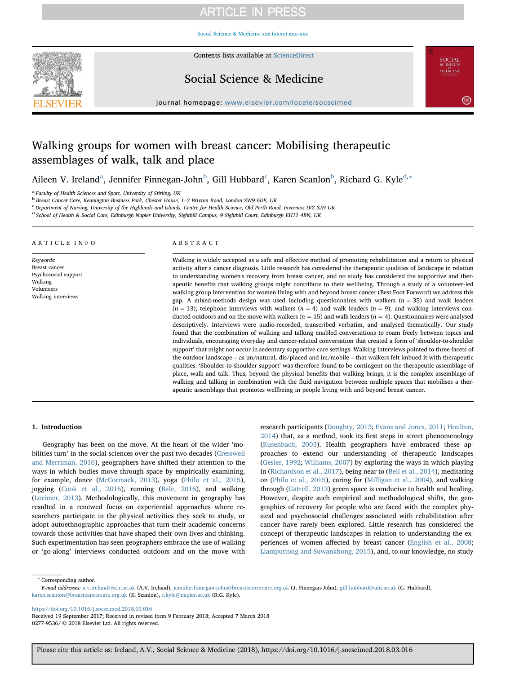## **ARTICLE IN PRESS**

[Social Science & Medicine xxx \(xxxx\) xxx–xxx](https://doi.org/10.1016/j.socscimed.2018.03.016)



Contents lists available at [ScienceDirect](http://www.sciencedirect.com/science/journal/02779536)

## Social Science & Medicine

**SOCIAL**<br>SCIENCE<br>MEDICINE  $\left( \frac{2.814}{2.814} \right)$ 

journal homepage: [www.elsevier.com/locate/socscimed](https://www.elsevier.com/locate/socscimed)

## Walking groups for women with breast cancer: Mobilising therapeutic assemblages of walk, talk and place

Aileen V. Ireland<sup>a</sup>, Jennifer Finnegan-John<sup>b</sup>, Gill Hubbard<sup>c</sup>, Karen Scanlon<sup>b</sup>, Richard G. Kyle<sup>d,∗</sup>

<sup>a</sup> Faculty of Health Sciences and Sport, University of Stirling, UK

**b** Breast Cancer Care, Kennington Business Park, Chester House, 1-3 Brixton Road, London SW9 6DE, UK

 $^{\rm c}$  Department of Nursing, University of the Highlands and Islands, Centre for Health Science, Old Perth Road, Inverness IV2 3JH UK

<sup>d</sup> School of Health & Social Care, Edinburgh Napier University, Sighthill Campus, 9 Sighthill Court, Edinburgh EH11 4BN, UK

### ARTICLE INFO

Keywords: Breast cancer Psychosocial support Walking Volunteers Walking interviews

### ABSTRACT

Walking is widely accepted as a safe and effective method of promoting rehabilitation and a return to physical activity after a cancer diagnosis. Little research has considered the therapeutic qualities of landscape in relation to understanding women's recovery from breast cancer, and no study has considered the supportive and therapeutic benefits that walking groups might contribute to their wellbeing. Through a study of a volunteer-led walking group intervention for women living with and beyond breast cancer (Best Foot Forward) we address this gap. A mixed-methods design was used including questionnaires with walkers ( $n = 35$ ) and walk leaders  $(n = 13)$ ; telephone interviews with walkers  $(n = 4)$  and walk leaders  $(n = 9)$ ; and walking interviews conducted outdoors and on the move with walkers ( $n = 15$ ) and walk leaders ( $n = 4$ ). Questionnaires were analysed descriptively. Interviews were audio-recorded, transcribed verbatim, and analysed thematically. Our study found that the combination of walking and talking enabled conversations to roam freely between topics and individuals, encouraging everyday and cancer-related conversation that created a form of 'shoulder-to-shoulder support' that might not occur in sedentary supportive care settings. Walking interviews pointed to three facets of the outdoor landscape – as un/natural, dis/placed and im/mobile – that walkers felt imbued it with therapeutic qualities. 'Shoulder-to-shoulder support' was therefore found to be contingent on the therapeutic assemblage of place, walk and talk. Thus, beyond the physical benefits that walking brings, it is the complex assemblage of walking and talking in combination with the fluid navigation between multiple spaces that mobilises a therapeutic assemblage that promotes wellbeing in people living with and beyond breast cancer.

### 1. Introduction

Geography has been on the move. At the heart of the wider 'mobilities turn' in the social sciences over the past two decades (Cresswell and Merriman, 2016), geographers have shifted their attention to the ways in which bodies move through space by empirically examining, for example, dance (McCormack, 2013), yoga (Philo et al., 2015), jogging (Cook et al., 2016), running (Bale, 2016), and walking (Lorimer, 2013). Methodologically, this movement in geography has resulted in a renewed focus on experiential approaches where researchers participate in the physical activities they seek to study, or adopt autoethnographic approaches that turn their academic concerns towards those activities that have shaped their own lives and thinking. Such experimentation has seen geographers embrace the use of walking or 'go-along' interviews conducted outdoors and on the move with research participants (Doughty, 2013; Evans and Jones, 2011; Houlton, 2014) that, as a method, took its first steps in street phenomenology (Kusenbach, 2003). Health geographers have embraced these approaches to extend our understanding of therapeutic landscapes (Gesler, 1992; Williams, 2007) by exploring the ways in which playing in (Richardson et al., 2017), being near to (Bell et al., 2014), meditating on (Philo et al., 2015), caring for (Milligan et al., 2004), and walking through (Gatrell, 2013) green space is conducive to health and healing. However, despite such empirical and methodological shifts, the geographies of recovery for people who are faced with the complex physical and psychosocial challenges associated with rehabilitation after cancer have rarely been explored. Little research has considered the concept of therapeutic landscapes in relation to understanding the experiences of women affected by breast cancer (English et al., 2008; Liamputtong and Suwankhong, 2015), and, to our knowledge, no study

<sup>∗</sup> Corresponding author.

<https://doi.org/10.1016/j.socscimed.2018.03.016>

E-mail addresses: [a.v.ireland@stir.ac.uk](mailto:a.v.ireland@stir.ac.uk) (A.V. Ireland), jennifer.fi[nnegan-john@breastcancercare.org.uk](mailto:jennifer.finnegan-john@breastcancercare.org.uk) (J. Finnegan-John), [gill.hubbard@uhi.ac.uk](mailto:gill.hubbard@uhi.ac.uk) (G. Hubbard), [karen.scanlon@breastcancercare.org.uk](mailto:karen.scanlon@breastcancercare.org.uk) (K. Scanlon), [r.kyle@napier.ac.uk](mailto:r.kyle@napier.ac.uk) (R.G. Kyle).

Received 19 September 2017; Received in revised form 9 February 2018; Accepted 7 March 2018 0277-9536/ © 2018 Elsevier Ltd. All rights reserved.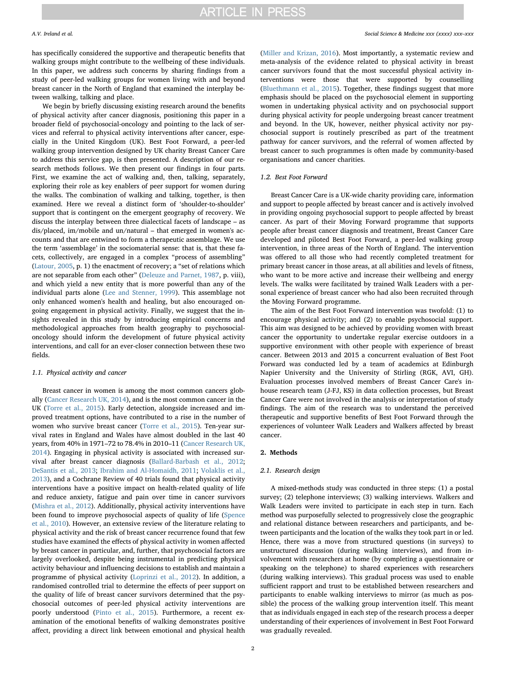has specifically considered the supportive and therapeutic benefits that walking groups might contribute to the wellbeing of these individuals. In this paper, we address such concerns by sharing findings from a study of peer-led walking groups for women living with and beyond breast cancer in the North of England that examined the interplay between walking, talking and place.

We begin by briefly discussing existing research around the benefits of physical activity after cancer diagnosis, positioning this paper in a broader field of psychosocial-oncology and pointing to the lack of services and referral to physical activity interventions after cancer, especially in the United Kingdom (UK). Best Foot Forward, a peer-led walking group intervention designed by UK charity Breast Cancer Care to address this service gap, is then presented. A description of our research methods follows. We then present our findings in four parts. First, we examine the act of walking and, then, talking, separately, exploring their role as key enablers of peer support for women during the walks. The combination of walking and talking, together, is then examined. Here we reveal a distinct form of 'shoulder-to-shoulder' support that is contingent on the emergent geography of recovery. We discuss the interplay between three dialectical facets of landscape – as dis/placed, im/mobile and un/natural – that emerged in women's accounts and that are entwined to form a therapeutic assemblage. We use the term 'assemblage' in the sociomaterial sense: that is, that these facets, collectively, are engaged in a complex "process of assembling" (Latour, 2005, p. 1) the enactment of recovery; a "set of relations which are not separable from each other" (Deleuze and Parnet, 1987, p. viii), and which yield a new entity that is more powerful than any of the individual parts alone (Lee and Stenner, 1999). This assemblage not only enhanced women's health and healing, but also encouraged ongoing engagement in physical activity. Finally, we suggest that the insights revealed in this study by introducing empirical concerns and methodological approaches from health geography to psychosocialoncology should inform the development of future physical activity interventions, and call for an ever-closer connection between these two fields.

### 1.1. Physical activity and cancer

Breast cancer in women is among the most common cancers globally (Cancer Research UK, 2014), and is the most common cancer in the UK (Torre et al., 2015). Early detection, alongside increased and improved treatment options, have contributed to a rise in the number of women who survive breast cancer (Torre et al., 2015). Ten-year survival rates in England and Wales have almost doubled in the last 40 years, from 40% in 1971–72 to 78.4% in 2010–11 (Cancer Research UK, 2014). Engaging in physical activity is associated with increased survival after breast cancer diagnosis (Ballard-Barbash et al., 2012; DeSantis et al., 2013; Ibrahim and Al-Homaidh, 2011; Volaklis et al., 2013), and a Cochrane Review of 40 trials found that physical activity interventions have a positive impact on health-related quality of life and reduce anxiety, fatigue and pain over time in cancer survivors (Mishra et al., 2012). Additionally, physical activity interventions have been found to improve psychosocial aspects of quality of life (Spence et al., 2010). However, an extensive review of the literature relating to physical activity and the risk of breast cancer recurrence found that few studies have examined the effects of physical activity in women affected by breast cancer in particular, and, further, that psychosocial factors are largely overlooked, despite being instrumental in predicting physical activity behaviour and influencing decisions to establish and maintain a programme of physical activity (Loprinzi et al., 2012). In addition, a randomised controlled trial to determine the effects of peer support on the quality of life of breast cancer survivors determined that the psychosocial outcomes of peer-led physical activity interventions are poorly understood (Pinto et al., 2015). Furthermore, a recent examination of the emotional benefits of walking demonstrates positive affect, providing a direct link between emotional and physical health (Miller and Krizan, 2016). Most importantly, a systematic review and meta-analysis of the evidence related to physical activity in breast cancer survivors found that the most successful physical activity interventions were those that were supported by counselling (Bluethmann et al., 2015). Together, these findings suggest that more emphasis should be placed on the psychosocial element in supporting women in undertaking physical activity and on psychosocial support during physical activity for people undergoing breast cancer treatment and beyond. In the UK, however, neither physical activity nor psychosocial support is routinely prescribed as part of the treatment pathway for cancer survivors, and the referral of women affected by breast cancer to such programmes is often made by community-based organisations and cancer charities.

### 1.2. Best Foot Forward

Breast Cancer Care is a UK-wide charity providing care, information and support to people affected by breast cancer and is actively involved in providing ongoing psychosocial support to people affected by breast cancer. As part of their Moving Forward programme that supports people after breast cancer diagnosis and treatment, Breast Cancer Care developed and piloted Best Foot Forward, a peer-led walking group intervention, in three areas of the North of England. The intervention was offered to all those who had recently completed treatment for primary breast cancer in those areas, at all abilities and levels of fitness, who want to be more active and increase their wellbeing and energy levels. The walks were facilitated by trained Walk Leaders with a personal experience of breast cancer who had also been recruited through the Moving Forward programme.

The aim of the Best Foot Forward intervention was twofold: (1) to encourage physical activity; and (2) to enable psychosocial support. This aim was designed to be achieved by providing women with breast cancer the opportunity to undertake regular exercise outdoors in a supportive environment with other people with experience of breast cancer. Between 2013 and 2015 a concurrent evaluation of Best Foot Forward was conducted led by a team of academics at Edinburgh Napier University and the University of Stirling (RGK, AVI, GH). Evaluation processes involved members of Breast Cancer Care's inhouse research team (J-FJ, KS) in data collection processes, but Breast Cancer Care were not involved in the analysis or interpretation of study findings. The aim of the research was to understand the perceived therapeutic and supportive benefits of Best Foot Forward through the experiences of volunteer Walk Leaders and Walkers affected by breast cancer.

### 2. Methods

### 2.1. Research design

A mixed-methods study was conducted in three steps: (1) a postal survey; (2) telephone interviews; (3) walking interviews. Walkers and Walk Leaders were invited to participate in each step in turn. Each method was purposefully selected to progressively close the geographic and relational distance between researchers and participants, and between participants and the location of the walks they took part in or led. Hence, there was a move from structured questions (in surveys) to unstructured discussion (during walking interviews), and from involvement with researchers at home (by completing a questionnaire or speaking on the telephone) to shared experiences with researchers (during walking interviews). This gradual process was used to enable sufficient rapport and trust to be established between researchers and participants to enable walking interviews to mirror (as much as possible) the process of the walking group intervention itself. This meant that as individuals engaged in each step of the research process a deeper understanding of their experiences of involvement in Best Foot Forward was gradually revealed.